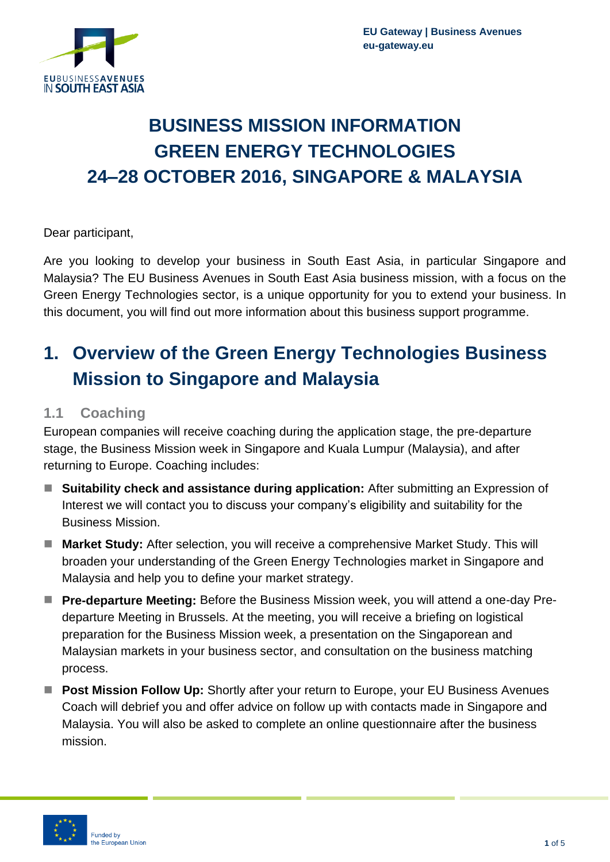

# **BUSINESS MISSION INFORMATION GREEN ENERGY TECHNOLOGIES 24–28 OCTOBER 2016, SINGAPORE & MALAYSIA**

Dear participant,

Are you looking to develop your business in South East Asia, in particular Singapore and Malaysia? The EU Business Avenues in South East Asia business mission, with a focus on the Green Energy Technologies sector, is a unique opportunity for you to extend your business. In this document, you will find out more information about this business support programme.

## **1. Overview of the Green Energy Technologies Business Mission to Singapore and Malaysia**

### **1.1 Coaching**

European companies will receive coaching during the application stage, the pre-departure stage, the Business Mission week in Singapore and Kuala Lumpur (Malaysia), and after returning to Europe. Coaching includes:

- Suitability check and assistance during application: After submitting an Expression of Interest we will contact you to discuss your company's eligibility and suitability for the Business Mission.
- Market Study: After selection, you will receive a comprehensive Market Study. This will broaden your understanding of the Green Energy Technologies market in Singapore and Malaysia and help you to define your market strategy.
- **Pre-departure Meeting:** Before the Business Mission week, you will attend a one-day Predeparture Meeting in Brussels. At the meeting, you will receive a briefing on logistical preparation for the Business Mission week, a presentation on the Singaporean and Malaysian markets in your business sector, and consultation on the business matching process.
- Post Mission Follow Up: Shortly after your return to Europe, your EU Business Avenues Coach will debrief you and offer advice on follow up with contacts made in Singapore and Malaysia. You will also be asked to complete an online questionnaire after the business mission.

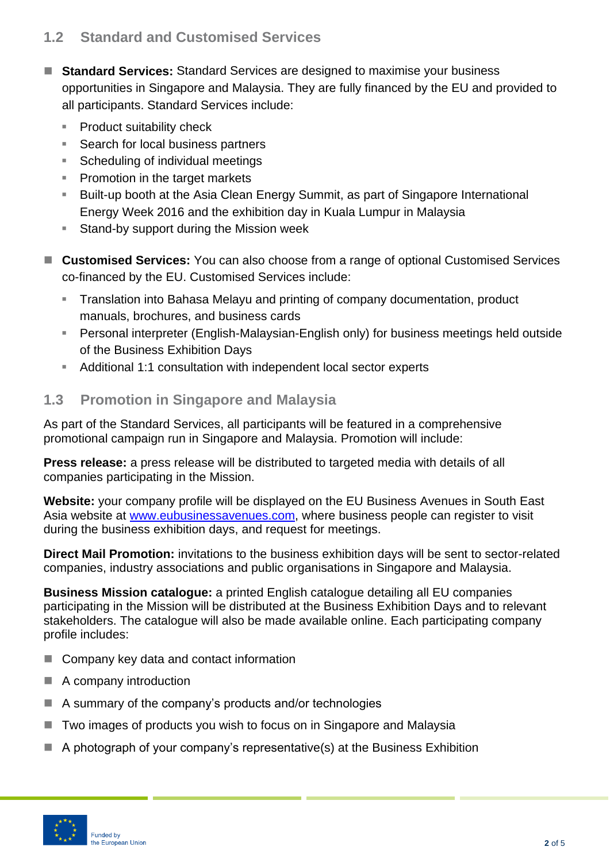## **1.2 Standard and Customised Services**

- **Standard Services:** Standard Services are designed to maximise your business opportunities in Singapore and Malaysia. They are fully financed by the EU and provided to all participants. Standard Services include:
	- Product suitability check
	- Search for local business partners
	- Scheduling of individual meetings
	- **Promotion in the target markets**
	- Built-up booth at the Asia Clean Energy Summit, as part of Singapore International Energy Week 2016 and the exhibition day in Kuala Lumpur in Malaysia
	- **Stand-by support during the Mission week**
- Customised Services: You can also choose from a range of optional Customised Services co-financed by the EU. Customised Services include:
	- Translation into Bahasa Melayu and printing of company documentation, product manuals, brochures, and business cards
	- Personal interpreter (English-Malaysian-English only) for business meetings held outside of the Business Exhibition Days
	- Additional 1:1 consultation with independent local sector experts

## **1.3 Promotion in Singapore and Malaysia**

As part of the Standard Services, all participants will be featured in a comprehensive promotional campaign run in Singapore and Malaysia. Promotion will include:

**Press release:** a press release will be distributed to targeted media with details of all companies participating in the Mission.

**Website:** your company profile will be displayed on the EU Business Avenues in South East Asia website at [www.eubu](http://www.eub/)sinessavenues.com, where business people can register to visit during the business exhibition days, and request for meetings.

**Direct Mail Promotion:** invitations to the business exhibition days will be sent to sector-related companies, industry associations and public organisations in Singapore and Malaysia.

**Business Mission catalogue:** a printed English catalogue detailing all EU companies participating in the Mission will be distributed at the Business Exhibition Days and to relevant stakeholders. The catalogue will also be made available online. Each participating company profile includes:

- Company key data and contact information
- A company introduction
- $\blacksquare$  A summary of the company's products and/or technologies
- Two images of products you wish to focus on in Singapore and Malaysia
- A photograph of your company's representative(s) at the Business Exhibition

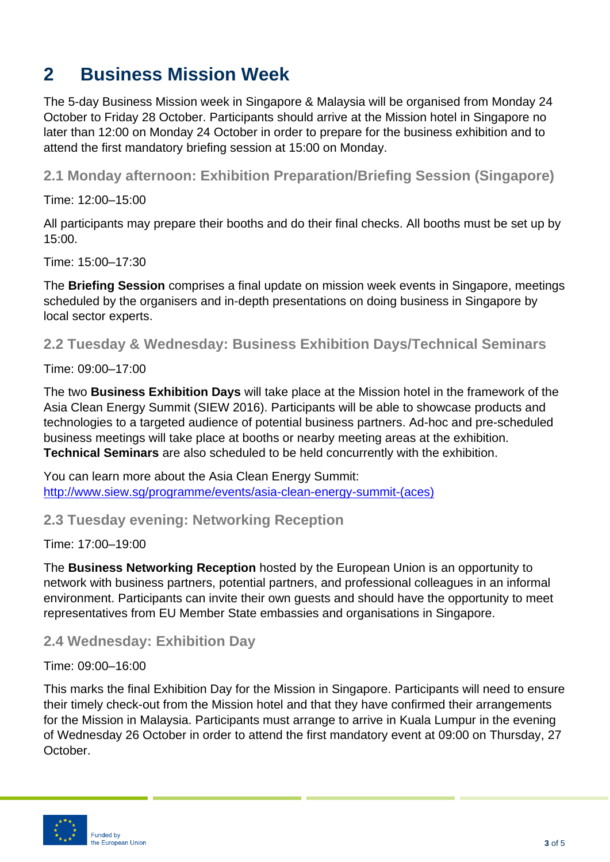## **2 Business Mission Week**

The 5-day Business Mission week in Singapore & Malaysia will be organised from Monday 24 October to Friday 28 October. Participants should arrive at the Mission hotel in Singapore no later than 12:00 on Monday 24 October in order to prepare for the business exhibition and to attend the first mandatory briefing session at 15:00 on Monday.

**2.1 Monday afternoon: Exhibition Preparation/Briefing Session (Singapore)**

Time: 12:00–15:00

All participants may prepare their booths and do their final checks. All booths must be set up by 15:00.

Time: 15:00–17:30

The **Briefing Session** comprises a final update on mission week events in Singapore, meetings scheduled by the organisers and in-depth presentations on doing business in Singapore by local sector experts.

**2.2 Tuesday & Wednesday: Business Exhibition Days/Technical Seminars**

Time: 09:00–17:00

The two **Business Exhibition Days** will take place at the Mission hotel in the framework of the Asia Clean Energy Summit (SIEW 2016). Participants will be able to showcase products and technologies to a targeted audience of potential business partners. Ad-hoc and pre-scheduled business meetings will take place at booths or nearby meeting areas at the exhibition. **Technical Seminars** are also scheduled to be held concurrently with the exhibition.

You can learn more about the Asia Clean Energy Summit: [http://www.siew.sg/programme/events/asia-clean-energy-summit-\(aces\)](http://www.siew.sg/programme/events/asia-clean-energy-summit-(aces))

#### **2.3 Tuesday evening: Networking Reception**

Time: 17:00–19:00

The **Business Networking Reception** hosted by the European Union is an opportunity to network with business partners, potential partners, and professional colleagues in an informal environment. Participants can invite their own guests and should have the opportunity to meet representatives from EU Member State embassies and organisations in Singapore.

**2.4 Wednesday: Exhibition Day**

Time: 09:00–16:00

This marks the final Exhibition Day for the Mission in Singapore. Participants will need to ensure their timely check-out from the Mission hotel and that they have confirmed their arrangements for the Mission in Malaysia. Participants must arrange to arrive in Kuala Lumpur in the evening of Wednesday 26 October in order to attend the first mandatory event at 09:00 on Thursday, 27 October.

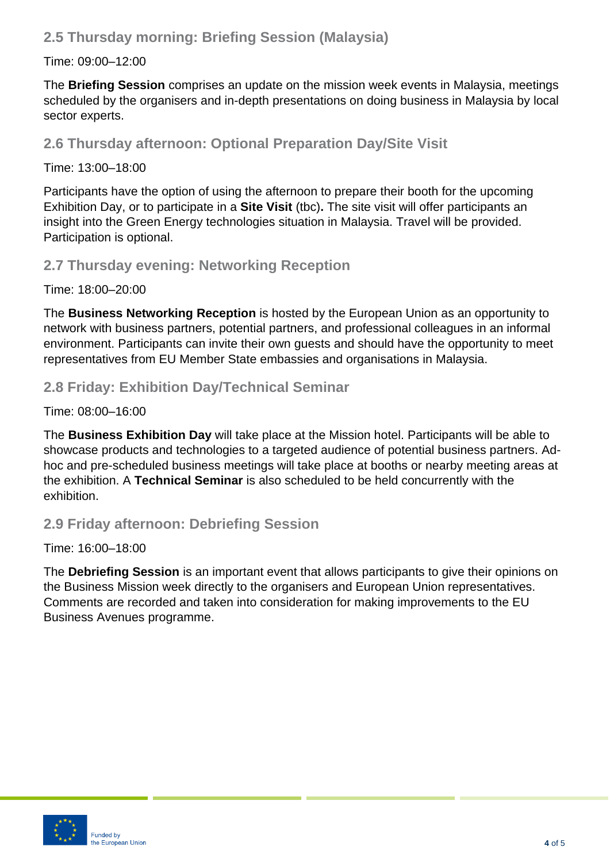## **2.5 Thursday morning: Briefing Session (Malaysia)**

#### Time: 09:00–12:00

The **Briefing Session** comprises an update on the mission week events in Malaysia, meetings scheduled by the organisers and in-depth presentations on doing business in Malaysia by local sector experts.

**2.6 Thursday afternoon: Optional Preparation Day/Site Visit**

#### Time: 13:00–18:00

Participants have the option of using the afternoon to prepare their booth for the upcoming Exhibition Day, or to participate in a **Site Visit** (tbc)**.** The site visit will offer participants an insight into the Green Energy technologies situation in Malaysia. Travel will be provided. Participation is optional.

### **2.7 Thursday evening: Networking Reception**

Time: 18:00–20:00

The **Business Networking Reception** is hosted by the European Union as an opportunity to network with business partners, potential partners, and professional colleagues in an informal environment. Participants can invite their own guests and should have the opportunity to meet representatives from EU Member State embassies and organisations in Malaysia.

## **2.8 Friday: Exhibition Day/Technical Seminar**

Time: 08:00–16:00

The **Business Exhibition Day** will take place at the Mission hotel. Participants will be able to showcase products and technologies to a targeted audience of potential business partners. Adhoc and pre-scheduled business meetings will take place at booths or nearby meeting areas at the exhibition. A **Technical Seminar** is also scheduled to be held concurrently with the exhibition.

## **2.9 Friday afternoon: Debriefing Session**

Time: 16:00–18:00

The **Debriefing Session** is an important event that allows participants to give their opinions on the Business Mission week directly to the organisers and European Union representatives. Comments are recorded and taken into consideration for making improvements to the EU Business Avenues programme.